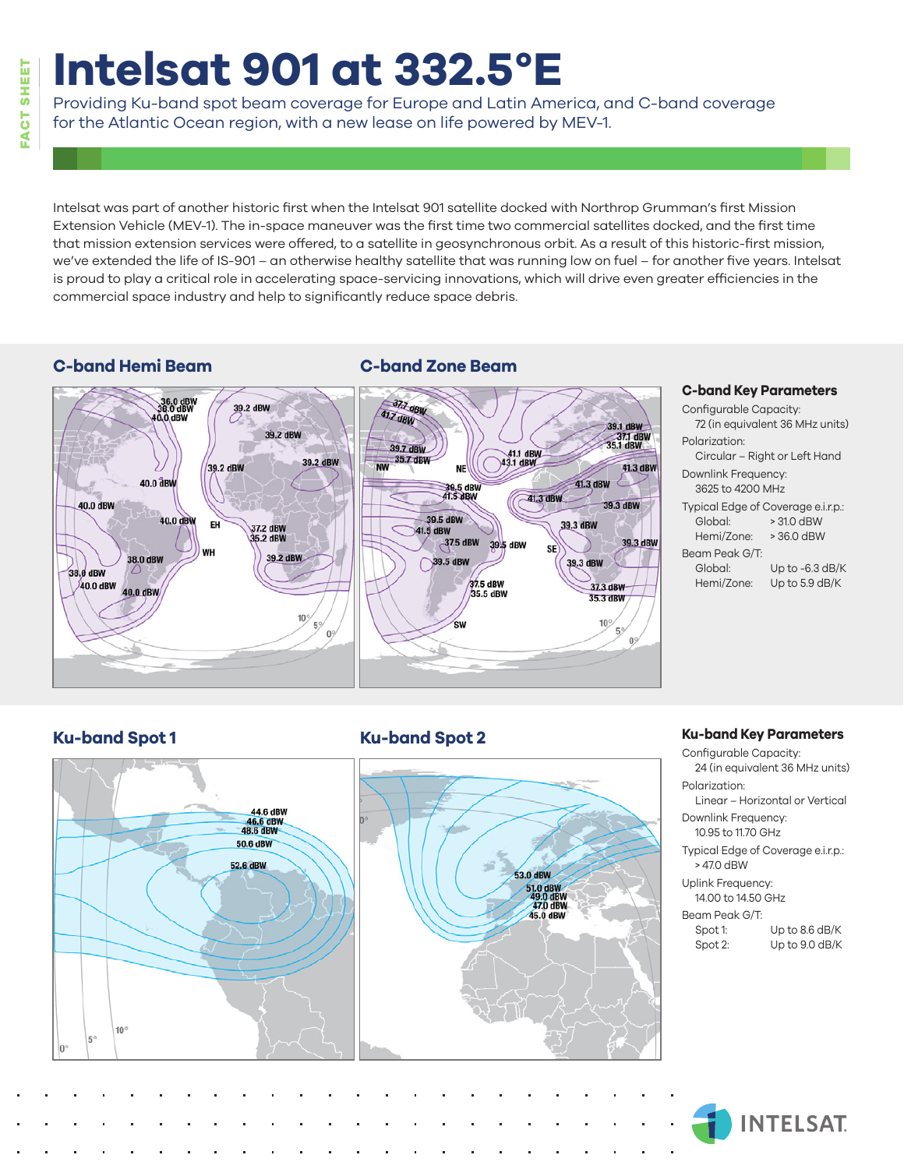## **FACT SHEET SHEET** FACT

# **Intelsat 901 at 332.5°E**

Providing Ku-band spot beam coverage for Europe and Latin America, and C-band coverage for the Atlantic Ocean region, with a new lease on life powered by MEV-1.

Intelsat was part of another historic first when the Intelsat 901 satellite docked with Northrop Grumman's first Mission Extension Vehicle (MEV-1). The in-space maneuver was the first time two commercial satellites docked, and the first time that mission extension services were offered, to a satellite in geosynchronous orbit. As a result of this historic-first mission, we've extended the life of IS-901 – an otherwise healthy satellite that was running low on fuel – for another five years. Intelsat is proud to play a critical role in accelerating space-servicing innovations, which will drive even greater efficiencies in the commercial space industry and help to significantly reduce space debris.

### **C-band Hemi Beam C-band Zone Beam**



#### **C-band Key Parameters**

Configurable Capacity: 72 (in equivalent 36 MHz units) Polarization: Circular – Right or Left Hand Downlink Frequency: 3625 to 4200 MHz Typical Edge of Coverage e.i.r.p.: Global: > 31.0 dBW Hemi/Zone: > 36.0 dBW Beam Peak G/T: Global: Up to -6.3 dB/K Hemi/Zone: Up to 5.9 dB/K

#### **Ku-band Spot 1 Ku-band Spot 2**



#### **Ku-band Key Parameters**